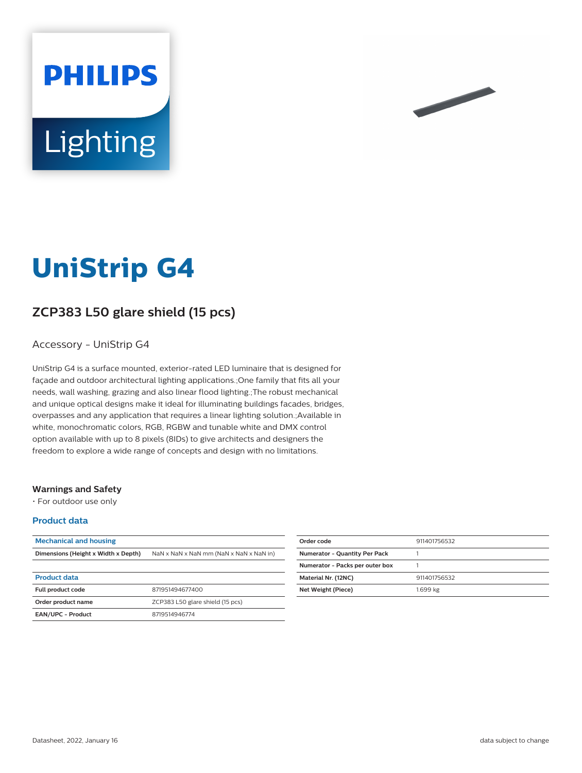



# **UniStrip G4**

# **ZCP383 L50 glare shield (15 pcs)**

### Accessory - UniStrip G4

UniStrip G4 is a surface mounted, exterior-rated LED luminaire that is designed for façade and outdoor architectural lighting applications.;One family that fits all your needs, wall washing, grazing and also linear flood lighting.;The robust mechanical and unique optical designs make it ideal for illuminating buildings facades, bridges, overpasses and any application that requires a linear lighting solution.;Available in white, monochromatic colors, RGB, RGBW and tunable white and DMX control option available with up to 8 pixels (8IDs) to give architects and designers the freedom to explore a wide range of concepts and design with no limitations.

#### **Warnings and Safety**

• For outdoor use only

#### **Product data**

| <b>Mechanical and housing</b>       |                                         |
|-------------------------------------|-----------------------------------------|
| Dimensions (Height x Width x Depth) | NaN x NaN x NaN mm (NaN x NaN x NaN in) |
|                                     |                                         |
| <b>Product data</b>                 |                                         |
| <b>Full product code</b>            | 871951494677400                         |
| Order product name                  | ZCP383 L50 glare shield (15 pcs)        |
| EAN/UPC - Product                   | 8719514946774                           |

| Order code                           | 911401756532 |
|--------------------------------------|--------------|
| <b>Numerator - Quantity Per Pack</b> |              |
| Numerator - Packs per outer box      |              |
| Material Nr. (12NC)                  | 911401756532 |
| Net Weight (Piece)                   | 1.699 kg     |
|                                      |              |